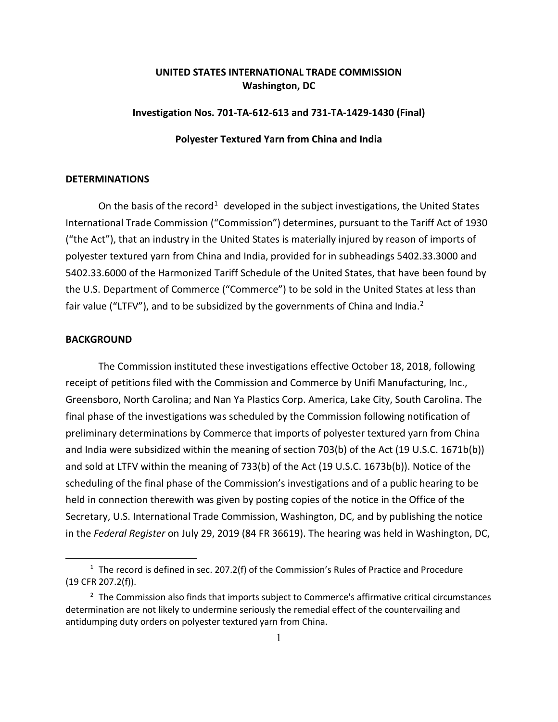# **UNITED STATES INTERNATIONAL TRADE COMMISSION Washington, DC**

### **Investigation Nos. 701-TA-612-613 and 731-TA-1429-1430 (Final)**

#### **Polyester Textured Yarn from China and India**

## **DETERMINATIONS**

On the basis of the record<sup>[1](#page-0-0)</sup> developed in the subject investigations, the United States International Trade Commission ("Commission") determines, pursuant to the Tariff Act of 1930 ("the Act"), that an industry in the United States is materially injured by reason of imports of polyester textured yarn from China and India, provided for in subheadings 5402.33.3000 and 5402.33.6000 of the Harmonized Tariff Schedule of the United States, that have been found by the U.S. Department of Commerce ("Commerce") to be sold in the United States at less than fair value ("LTFV"), and to be subsidized by the governments of China and India.<sup>[2](#page-0-1)</sup>

#### **BACKGROUND**

 $\overline{a}$ 

The Commission instituted these investigations effective October 18, 2018, following receipt of petitions filed with the Commission and Commerce by Unifi Manufacturing, Inc., Greensboro, North Carolina; and Nan Ya Plastics Corp. America, Lake City, South Carolina. The final phase of the investigations was scheduled by the Commission following notification of preliminary determinations by Commerce that imports of polyester textured yarn from China and India were subsidized within the meaning of section 703(b) of the Act (19 U.S.C. 1671b(b)) and sold at LTFV within the meaning of 733(b) of the Act (19 U.S.C. 1673b(b)). Notice of the scheduling of the final phase of the Commission's investigations and of a public hearing to be held in connection therewith was given by posting copies of the notice in the Office of the Secretary, U.S. International Trade Commission, Washington, DC, and by publishing the notice in the *Federal Register* on July 29, 2019 (84 FR 36619). The hearing was held in Washington, DC,

<span id="page-0-0"></span> $1$  The record is defined in sec. 207.2(f) of the Commission's Rules of Practice and Procedure (19 CFR 207.2(f)).

<span id="page-0-1"></span><sup>&</sup>lt;sup>2</sup> The Commission also finds that imports subject to Commerce's affirmative critical circumstances determination are not likely to undermine seriously the remedial effect of the countervailing and antidumping duty orders on polyester textured yarn from China.